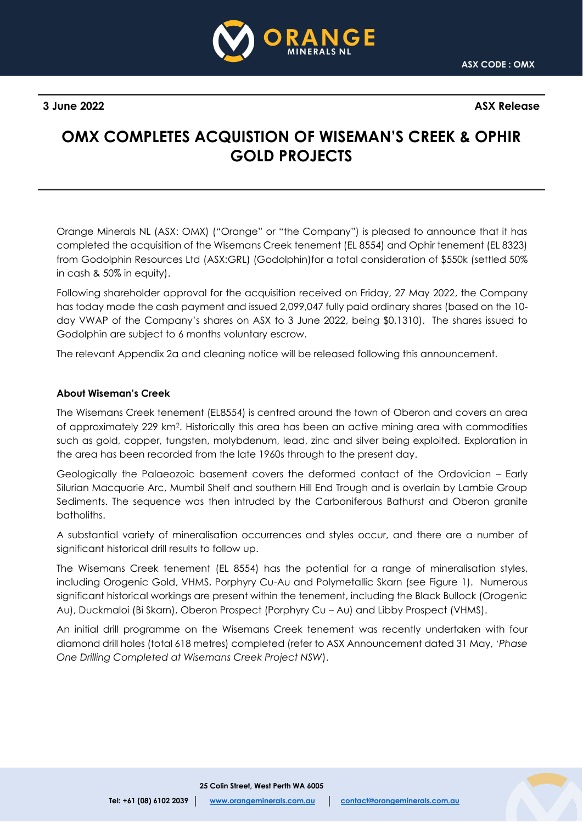

**3 June 2022 ASX Release**

# **OMX COMPLETES ACQUISTION OF WISEMAN'S CREEK & OPHIR GOLD PROJECTS**

Orange Minerals NL (ASX: OMX) ("Orange" or "the Company") is pleased to announce that it has completed the acquisition of the Wisemans Creek tenement (EL 8554) and Ophir tenement (EL 8323) from Godolphin Resources Ltd (ASX:GRL) (Godolphin)for a total consideration of \$550k (settled 50% in cash & 50% in equity).

Following shareholder approval for the acquisition received on Friday, 27 May 2022, the Company has today made the cash payment and issued 2,099,047 fully paid ordinary shares (based on the 10 day VWAP of the Company's shares on ASX to 3 June 2022, being \$0.1310). The shares issued to Godolphin are subject to 6 months voluntary escrow.

The relevant Appendix 2a and cleaning notice will be released following this announcement.

### **About Wiseman's Creek**

The Wisemans Creek tenement (EL8554) is centred around the town of Oberon and covers an area of approximately 229 km2. Historically this area has been an active mining area with commodities such as gold, copper, tungsten, molybdenum, lead, zinc and silver being exploited. Exploration in the area has been recorded from the late 1960s through to the present day.

Geologically the Palaeozoic basement covers the deformed contact of the Ordovician – Early Silurian Macquarie Arc, Mumbil Shelf and southern Hill End Trough and is overlain by Lambie Group Sediments. The sequence was then intruded by the Carboniferous Bathurst and Oberon granite batholiths.

A substantial variety of mineralisation occurrences and styles occur, and there are a number of significant historical drill results to follow up.

The Wisemans Creek tenement (EL 8554) has the potential for a range of mineralisation styles, including Orogenic Gold, VHMS, Porphyry Cu-Au and Polymetallic Skarn (see Figure 1). Numerous significant historical workings are present within the tenement, including the Black Bullock (Orogenic Au), Duckmaloi (Bi Skarn), Oberon Prospect (Porphyry Cu – Au) and Libby Prospect (VHMS).

An initial drill programme on the Wisemans Creek tenement was recently undertaken with four diamond drill holes (total 618 metres) completed (refer to ASX Announcement dated 31 May, '*Phase One Drilling Completed at Wisemans Creek Project NSW*).

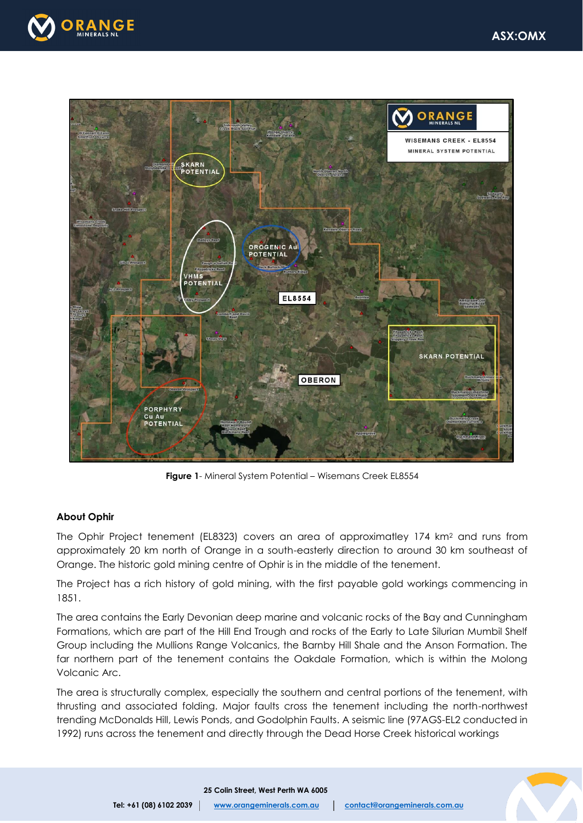



**Figure 1**- Mineral System Potential – Wisemans Creek EL8554

## **About Ophir**

The Ophir Project tenement (EL8323) covers an area of approximatley 174 km<sup>2</sup> and runs from approximately 20 km north of Orange in a south-easterly direction to around 30 km southeast of Orange. The historic gold mining centre of Ophir is in the middle of the tenement.

The Project has a rich history of gold mining, with the first payable gold workings commencing in 1851.

The area contains the Early Devonian deep marine and volcanic rocks of the Bay and Cunningham Formations, which are part of the Hill End Trough and rocks of the Early to Late Silurian Mumbil Shelf Group including the Mullions Range Volcanics, the Barnby Hill Shale and the Anson Formation. The far northern part of the tenement contains the Oakdale Formation, which is within the Molong Volcanic Arc.

The area is structurally complex, especially the southern and central portions of the tenement, with thrusting and associated folding. Major faults cross the tenement including the north-northwest trending McDonalds Hill, Lewis Ponds, and Godolphin Faults. A seismic line (97AGS-EL2 conducted in 1992) runs across the tenement and directly through the Dead Horse Creek historical workings



 **25 Colin Street, West Perth WA 6005**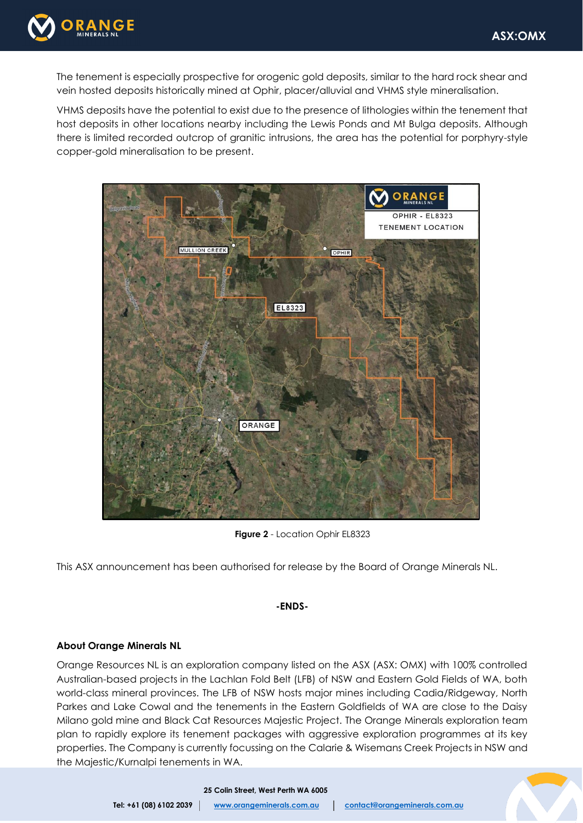

The tenement is especially prospective for orogenic gold deposits, similar to the hard rock shear and vein hosted deposits historically mined at Ophir, placer/alluvial and VHMS style mineralisation.

VHMS deposits have the potential to exist due to the presence of lithologies within the tenement that host deposits in other locations nearby including the Lewis Ponds and Mt Bulga deposits. Although there is limited recorded outcrop of granitic intrusions, the area has the potential for porphyry-style copper-gold mineralisation to be present.



**Figure 2** - Location Ophir EL8323

This ASX announcement has been authorised for release by the Board of Orange Minerals NL.

#### **-ENDS-**

#### **About Orange Minerals NL**

Orange Resources NL is an exploration company listed on the ASX (ASX: OMX) with 100% controlled Australian-based projects in the Lachlan Fold Belt (LFB) of NSW and Eastern Gold Fields of WA, both world-class mineral provinces. The LFB of NSW hosts major mines including Cadia/Ridgeway, North Parkes and Lake Cowal and the tenements in the Eastern Goldfields of WA are close to the Daisy Milano gold mine and Black Cat Resources Majestic Project. The Orange Minerals exploration team plan to rapidly explore its tenement packages with aggressive exploration programmes at its key properties. The Company is currently focussing on the Calarie & Wisemans Creek Projects in NSW and the Majestic/Kurnalpi tenements in WA.



 **25 Colin Street, West Perth WA 6005**